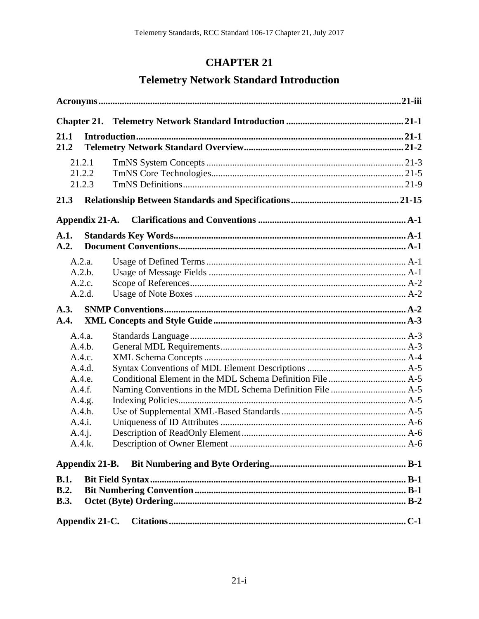# **CHAPTER 21**

# **Telemetry Network Standard Introduction**

| 21.1<br>21.2                |                                                                                                            |  |
|-----------------------------|------------------------------------------------------------------------------------------------------------|--|
|                             | 21.2.1<br>21.2.2<br>21.2.3                                                                                 |  |
| 21.3                        |                                                                                                            |  |
|                             | Appendix 21-A.                                                                                             |  |
| A.1.<br>A.2.                |                                                                                                            |  |
|                             | A.2.a.<br>A.2.b.<br>A.2.c.<br>A.2.d.                                                                       |  |
| A.3.<br>A.4.                |                                                                                                            |  |
|                             | A.4.a.<br>A.4.b.<br>A.4.c.<br>A.4.d.<br>A.4.e.<br>A.4.f.<br>A.4.g.<br>A.4.h.<br>A.4.i.<br>A.4.i.<br>A.4.k. |  |
|                             | Appendix 21-B.                                                                                             |  |
| B.1.<br>B.2.<br><b>B.3.</b> | Appendix 21-C.                                                                                             |  |
|                             |                                                                                                            |  |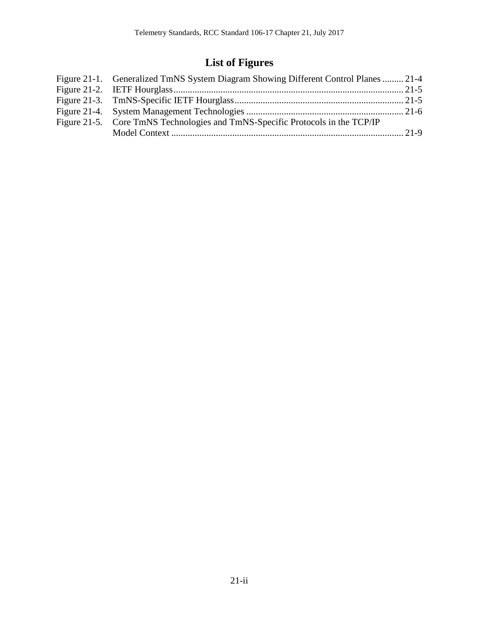# **List of Figures**

| Figure 21-1. Generalized TmNS System Diagram Showing Different Control Planes  21-4 |  |
|-------------------------------------------------------------------------------------|--|
|                                                                                     |  |
|                                                                                     |  |
|                                                                                     |  |
| Figure 21-5. Core TmNS Technologies and TmNS-Specific Protocols in the TCP/IP       |  |
|                                                                                     |  |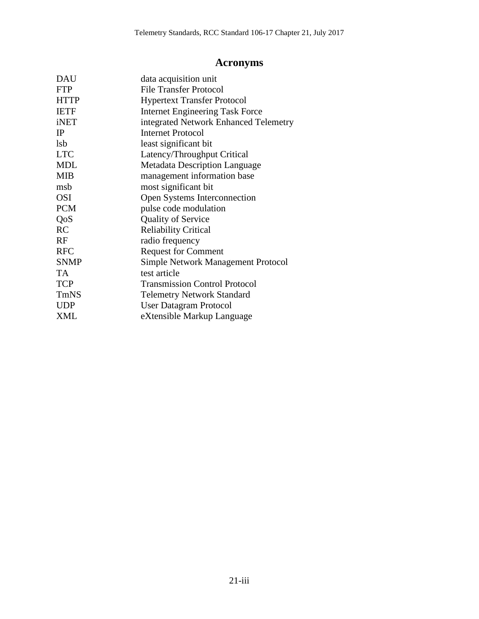# <span id="page-2-0"></span>**Acronyms**

| <b>DAU</b>  | data acquisition unit                     |
|-------------|-------------------------------------------|
| <b>FTP</b>  | <b>File Transfer Protocol</b>             |
| <b>HTTP</b> | <b>Hypertext Transfer Protocol</b>        |
| <b>IETF</b> | <b>Internet Engineering Task Force</b>    |
| iNET        | integrated Network Enhanced Telemetry     |
| $_{\rm IP}$ | Internet Protocol                         |
| <b>lsb</b>  | least significant bit                     |
| <b>LTC</b>  | Latency/Throughput Critical               |
| <b>MDL</b>  | <b>Metadata Description Language</b>      |
| <b>MIB</b>  | management information base               |
| msb         | most significant bit                      |
| <b>OSI</b>  | Open Systems Interconnection              |
| <b>PCM</b>  | pulse code modulation                     |
| QoS         | <b>Quality of Service</b>                 |
| RC          | <b>Reliability Critical</b>               |
| <b>RF</b>   | radio frequency                           |
| <b>RFC</b>  | <b>Request for Comment</b>                |
| <b>SNMP</b> | <b>Simple Network Management Protocol</b> |
| <b>TA</b>   | test article                              |
| <b>TCP</b>  | <b>Transmission Control Protocol</b>      |
| <b>TmNS</b> | <b>Telemetry Network Standard</b>         |
| <b>UDP</b>  | <b>User Datagram Protocol</b>             |
| <b>XML</b>  | eXtensible Markup Language                |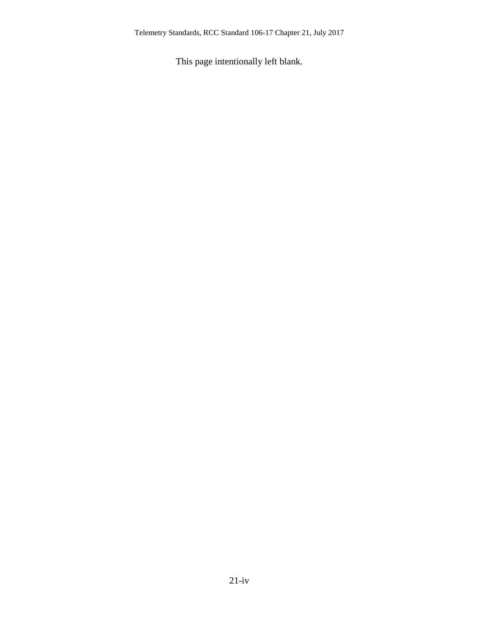This page intentionally left blank.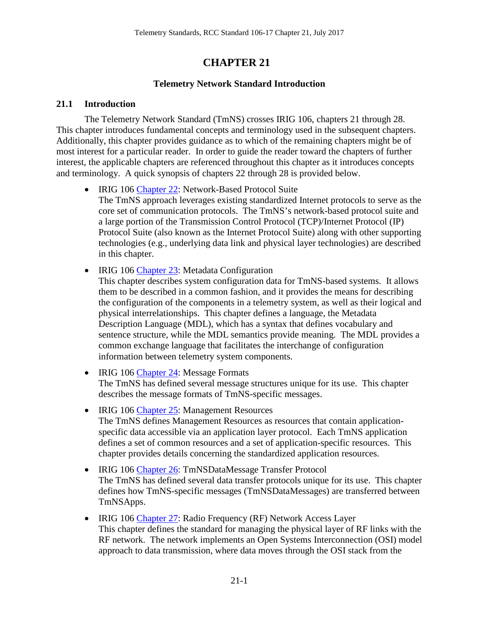# <span id="page-4-0"></span>**CHAPTER 21**

## **Telemetry Network Standard Introduction**

### <span id="page-4-1"></span>**21.1 Introduction**

The Telemetry Network Standard (TmNS) crosses IRIG 106, chapters 21 through 28. This chapter introduces fundamental concepts and terminology used in the subsequent chapters. Additionally, this chapter provides guidance as to which of the remaining chapters might be of most interest for a particular reader. In order to guide the reader toward the chapters of further interest, the applicable chapters are referenced throughout this chapter as it introduces concepts and terminology. A quick synopsis of chapters 22 through 28 is provided below.

- IRIG 106 [Chapter 22:](http://www.wsmr.army.mil/RCCsite/Documents/106-17_Telemetry_Standards/Chapter22.pdf) Network-Based Protocol Suite The TmNS approach leverages existing standardized Internet protocols to serve as the core set of communication protocols. The TmNS's network-based protocol suite and a large portion of the Transmission Control Protocol (TCP)/Internet Protocol (IP) Protocol Suite (also known as the Internet Protocol Suite) along with other supporting technologies (e.g., underlying data link and physical layer technologies) are described in this chapter.
- IRIG 106 [Chapter 23:](http://www.wsmr.army.mil/RCCsite/Documents/106-17_Telemetry_Standards/Chapter23.pdf) Metadata Configuration

This chapter describes system configuration data for TmNS-based systems. It allows them to be described in a common fashion, and it provides the means for describing the configuration of the components in a telemetry system, as well as their logical and physical interrelationships. This chapter defines a language, the Metadata Description Language (MDL), which has a syntax that defines vocabulary and sentence structure, while the MDL semantics provide meaning. The MDL provides a common exchange language that facilitates the interchange of configuration information between telemetry system components.

- IRIG 106 [Chapter 24:](http://www.wsmr.army.mil/RCCsite/Documents/106-17_Telemetry_Standards/Chapter24.pdf) Message Formats The TmNS has defined several message structures unique for its use. This chapter describes the message formats of TmNS-specific messages.
- IRIG 106 [Chapter 25:](http://www.wsmr.army.mil/RCCsite/Documents/106-17_Telemetry_Standards/Chapter25.pdf) Management Resources The TmNS defines Management Resources as resources that contain applicationspecific data accessible via an application layer protocol. Each TmNS application defines a set of common resources and a set of application-specific resources. This chapter provides details concerning the standardized application resources.
- IRIG 106 [Chapter 26:](http://www.wsmr.army.mil/RCCsite/Documents/106-17_Telemetry_Standards/Chapter26.pdf) TmNSDataMessage Transfer Protocol The TmNS has defined several data transfer protocols unique for its use. This chapter defines how TmNS-specific messages (TmNSDataMessages) are transferred between TmNSApps.
- IRIG 106 [Chapter 27:](http://www.wsmr.army.mil/RCCsite/Documents/106-17_Telemetry_Standards/Chapter27.pdf) Radio Frequency (RF) Network Access Layer This chapter defines the standard for managing the physical layer of RF links with the RF network. The network implements an Open Systems Interconnection (OSI) model approach to data transmission, where data moves through the OSI stack from the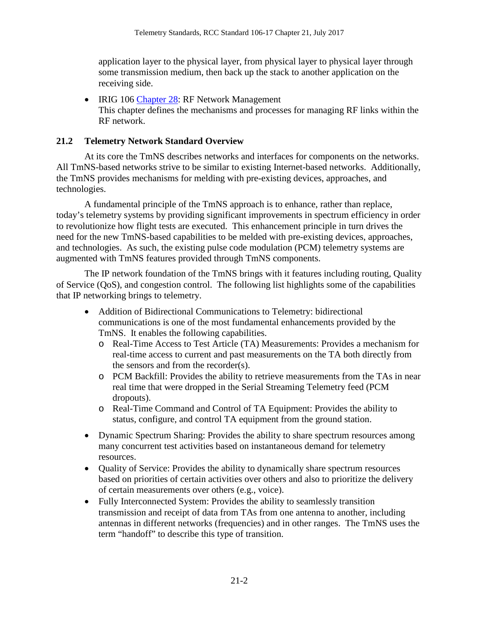application layer to the physical layer, from physical layer to physical layer through some transmission medium, then back up the stack to another application on the receiving side.

• IRIG 106 [Chapter 28:](http://www.wsmr.army.mil/RCCsite/Documents/106-17_Telemetry_Standards/Chapter28.pdf) RF Network Management This chapter defines the mechanisms and processes for managing RF links within the RF network.

## <span id="page-5-0"></span>**21.2 Telemetry Network Standard Overview**

At its core the TmNS describes networks and interfaces for components on the networks. All TmNS-based networks strive to be similar to existing Internet-based networks. Additionally, the TmNS provides mechanisms for melding with pre-existing devices, approaches, and technologies.

A fundamental principle of the TmNS approach is to enhance, rather than replace, today's telemetry systems by providing significant improvements in spectrum efficiency in order to revolutionize how flight tests are executed. This enhancement principle in turn drives the need for the new TmNS-based capabilities to be melded with pre-existing devices, approaches, and technologies. As such, the existing pulse code modulation (PCM) telemetry systems are augmented with TmNS features provided through TmNS components.

The IP network foundation of the TmNS brings with it features including routing, Quality of Service (QoS), and congestion control. The following list highlights some of the capabilities that IP networking brings to telemetry.

- Addition of Bidirectional Communications to Telemetry: bidirectional communications is one of the most fundamental enhancements provided by the TmNS. It enables the following capabilities.
	- o Real-Time Access to Test Article (TA) Measurements: Provides a mechanism for real-time access to current and past measurements on the TA both directly from the sensors and from the recorder(s).
	- o PCM Backfill: Provides the ability to retrieve measurements from the TAs in near real time that were dropped in the Serial Streaming Telemetry feed (PCM dropouts).
	- o Real-Time Command and Control of TA Equipment: Provides the ability to status, configure, and control TA equipment from the ground station.
- Dynamic Spectrum Sharing: Provides the ability to share spectrum resources among many concurrent test activities based on instantaneous demand for telemetry resources.
- Quality of Service: Provides the ability to dynamically share spectrum resources based on priorities of certain activities over others and also to prioritize the delivery of certain measurements over others (e.g., voice).
- Fully Interconnected System: Provides the ability to seamlessly transition transmission and receipt of data from TAs from one antenna to another, including antennas in different networks (frequencies) and in other ranges. The TmNS uses the term "handoff" to describe this type of transition.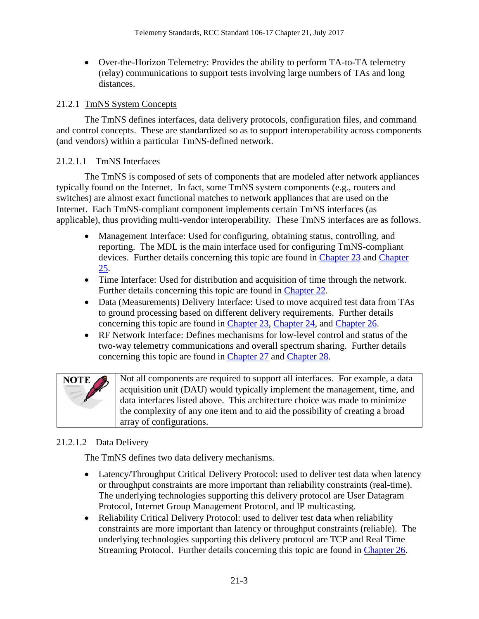• Over-the-Horizon Telemetry: Provides the ability to perform TA-to-TA telemetry (relay) communications to support tests involving large numbers of TAs and long distances.

### <span id="page-6-0"></span>21.2.1 TmNS System Concepts

The TmNS defines interfaces, data delivery protocols, configuration files, and command and control concepts. These are standardized so as to support interoperability across components (and vendors) within a particular TmNS-defined network.

### 21.2.1.1 TmNS Interfaces

The TmNS is composed of sets of components that are modeled after network appliances typically found on the Internet. In fact, some TmNS system components (e.g., routers and switches) are almost exact functional matches to network appliances that are used on the Internet. Each TmNS-compliant component implements certain TmNS interfaces (as applicable), thus providing multi-vendor interoperability. These TmNS interfaces are as follows.

- Management Interface: Used for configuring, obtaining status, controlling, and reporting. The MDL is the main interface used for configuring TmNS-compliant devices. Further details concerning this topic are found in [Chapter 23](http://www.wsmr.army.mil/RCCsite/Documents/106-17_Telemetry_Standards/Chapter23.pdf) and [Chapter](http://www.wsmr.army.mil/RCCsite/Documents/106-17_Telemetry_Standards/Chapter25.pdf)  [25.](http://www.wsmr.army.mil/RCCsite/Documents/106-17_Telemetry_Standards/Chapter25.pdf)
- Time Interface: Used for distribution and acquisition of time through the network. Further details concerning this topic are found in [Chapter 22.](http://www.wsmr.army.mil/RCCsite/Documents/106-17_Telemetry_Standards/Chapter22.pdf)
- Data (Measurements) Delivery Interface: Used to move acquired test data from TAs to ground processing based on different delivery requirements. Further details concerning this topic are found in [Chapter 23,](http://www.wsmr.army.mil/RCCsite/Documents/106-17_Telemetry_Standards/Chapter23.pdf) [Chapter 24,](http://www.wsmr.army.mil/RCCsite/Documents/106-17_Telemetry_Standards/Chapter24.pdf) and [Chapter 26.](http://www.wsmr.army.mil/RCCsite/Documents/106-17_Telemetry_Standards/Chapter26.pdf)
- RF Network Interface: Defines mechanisms for low-level control and status of the two-way telemetry communications and overall spectrum sharing. Further details concerning this topic are found in [Chapter 27](http://www.wsmr.army.mil/RCCsite/Documents/106-17_Telemetry_Standards/Chapter27.pdf) and [Chapter 28.](http://www.wsmr.army.mil/RCCsite/Documents/106-17_Telemetry_Standards/Chapter28.pdf)



Not all components are required to support all interfaces. For example, a data acquisition unit (DAU) would typically implement the management, time, and data interfaces listed above. This architecture choice was made to minimize the complexity of any one item and to aid the possibility of creating a broad array of configurations.

## 21.2.1.2 Data Delivery

The TmNS defines two data delivery mechanisms.

- Latency/Throughput Critical Delivery Protocol: used to deliver test data when latency or throughput constraints are more important than reliability constraints (real-time). The underlying technologies supporting this delivery protocol are User Datagram Protocol, Internet Group Management Protocol, and IP multicasting.
- Reliability Critical Delivery Protocol: used to deliver test data when reliability constraints are more important than latency or throughput constraints (reliable). The underlying technologies supporting this delivery protocol are TCP and Real Time Streaming Protocol. Further details concerning this topic are found in [Chapter 26.](http://www.wsmr.army.mil/RCCsite/Documents/106-17_Telemetry_Standards/Chapter26.pdf)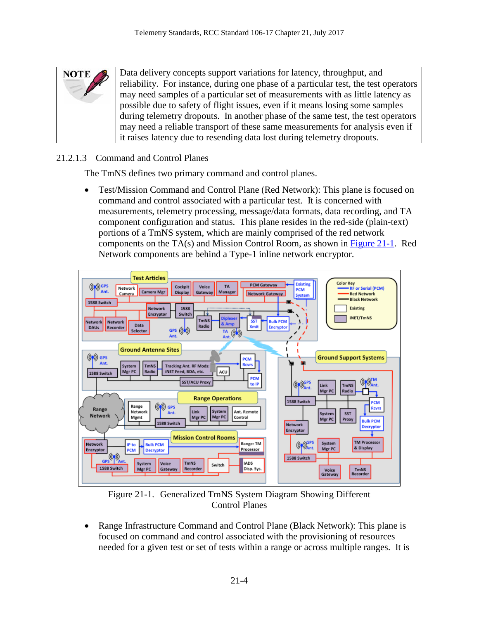| NOTE                                                                           | Data delivery concepts support variations for latency, throughput, and               |  |  |  |  |  |  |
|--------------------------------------------------------------------------------|--------------------------------------------------------------------------------------|--|--|--|--|--|--|
|                                                                                |                                                                                      |  |  |  |  |  |  |
|                                                                                | reliability. For instance, during one phase of a particular test, the test operators |  |  |  |  |  |  |
| may need samples of a particular set of measurements with as little latency as |                                                                                      |  |  |  |  |  |  |
| possible due to safety of flight issues, even if it means losing some samples  |                                                                                      |  |  |  |  |  |  |
|                                                                                | during telemetry dropouts. In another phase of the same test, the test operators     |  |  |  |  |  |  |
|                                                                                | may need a reliable transport of these same measurements for analysis even if        |  |  |  |  |  |  |
|                                                                                | it raises latency due to resending data lost during telemetry dropouts.              |  |  |  |  |  |  |

### 21.2.1.3 Command and Control Planes

The TmNS defines two primary command and control planes.

• Test/Mission Command and Control Plane (Red Network): This plane is focused on command and control associated with a particular test. It is concerned with measurements, telemetry processing, message/data formats, data recording, and TA component configuration and status. This plane resides in the red-side (plain-text) portions of a TmNS system, which are mainly comprised of the red network components on the TA(s) and Mission Control Room, as shown in [Figure 21-1.](#page-7-0) Red Network components are behind a Type-1 inline network encryptor.



Figure 21-1. Generalized TmNS System Diagram Showing Different Control Planes

<span id="page-7-0"></span>• Range Infrastructure Command and Control Plane (Black Network): This plane is focused on command and control associated with the provisioning of resources needed for a given test or set of tests within a range or across multiple ranges. It is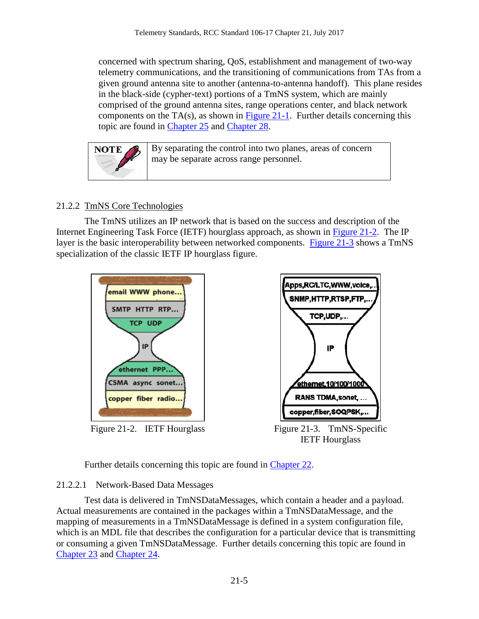concerned with spectrum sharing, QoS, establishment and management of two-way telemetry communications, and the transitioning of communications from TAs from a given ground antenna site to another (antenna-to-antenna handoff). This plane resides in the black-side (cypher-text) portions of a TmNS system, which are mainly comprised of the ground antenna sites, range operations center, and black network components on the  $TA(s)$ , as shown in [Figure 21-1.](#page-7-0) Further details concerning this topic are found in [Chapter 25](http://www.wsmr.army.mil/RCCsite/Documents/106-17_Telemetry_Standards/Chapter25.pdf) and [Chapter 28.](http://www.wsmr.army.mil/RCCsite/Documents/106-17_Telemetry_Standards/Chapter28.pdf)



## <span id="page-8-0"></span>21.2.2 TmNS Core Technologies

The TmNS utilizes an IP network that is based on the success and description of the Internet Engineering Task Force (IETF) hourglass approach, as shown in [Figure 21-2.](#page-8-1) The IP layer is the basic interoperability between networked components. [Figure 21-3](#page-8-2) shows a TmNS specialization of the classic IETF IP hourglass figure.





<span id="page-8-2"></span>IETF Hourglass

<span id="page-8-1"></span>Further details concerning this topic are found in [Chapter 22.](http://www.wsmr.army.mil/RCCsite/Documents/106-17_Telemetry_Standards/Chapter22.pdf)

## 21.2.2.1 Network-Based Data Messages

Test data is delivered in TmNSDataMessages, which contain a header and a payload. Actual measurements are contained in the packages within a TmNSDataMessage, and the mapping of measurements in a TmNSDataMessage is defined in a system configuration file, which is an MDL file that describes the configuration for a particular device that is transmitting or consuming a given TmNSDataMessage. Further details concerning this topic are found in [Chapter 23](http://www.wsmr.army.mil/RCCsite/Documents/106-17_Telemetry_Standards/Chapter23.pdf) and [Chapter 24.](http://www.wsmr.army.mil/RCCsite/Documents/106-17_Telemetry_Standards/Chapter24.pdf)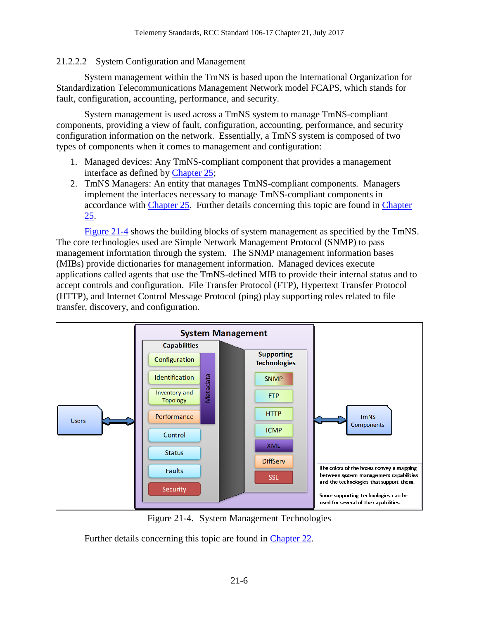#### 21.2.2.2 System Configuration and Management

System management within the TmNS is based upon the International Organization for Standardization Telecommunications Management Network model FCAPS, which stands for fault, configuration, accounting, performance, and security.

System management is used across a TmNS system to manage TmNS-compliant components, providing a view of fault, configuration, accounting, performance, and security configuration information on the network. Essentially, a TmNS system is composed of two types of components when it comes to management and configuration:

- 1. Managed devices: Any TmNS-compliant component that provides a management interface as defined by [Chapter 25;](http://www.wsmr.army.mil/RCCsite/Documents/106-17_Telemetry_Standards/Chapter25.pdf)
- 2. TmNS Managers: An entity that manages TmNS-compliant components*.* Managers implement the interfaces necessary to manage TmNS-compliant components in accordance with [Chapter 25.](http://www.wsmr.army.mil/RCCsite/Documents/106-17_Telemetry_Standards/Chapter25.pdf) Further details concerning this topic are found in [Chapter](http://www.wsmr.army.mil/RCCsite/Documents/106-17_Telemetry_Standards/Chapter25.pdf)  [25.](http://www.wsmr.army.mil/RCCsite/Documents/106-17_Telemetry_Standards/Chapter25.pdf)

[Figure 21-4](#page-9-0) shows the building blocks of system management as specified by the TmNS. The core technologies used are Simple Network Management Protocol (SNMP) to pass management information through the system. The SNMP management information bases (MIBs) provide dictionaries for management information. Managed devices execute applications called agents that use the TmNS-defined MIB to provide their internal status and to accept controls and configuration. File Transfer Protocol (FTP), Hypertext Transfer Protocol (HTTP), and Internet Control Message Protocol (ping) play supporting roles related to file transfer, discovery, and configuration.



Figure 21-4. System Management Technologies

<span id="page-9-0"></span>Further details concerning this topic are found in [Chapter 22.](http://www.wsmr.army.mil/RCCsite/Documents/106-17_Telemetry_Standards/Chapter22.pdf)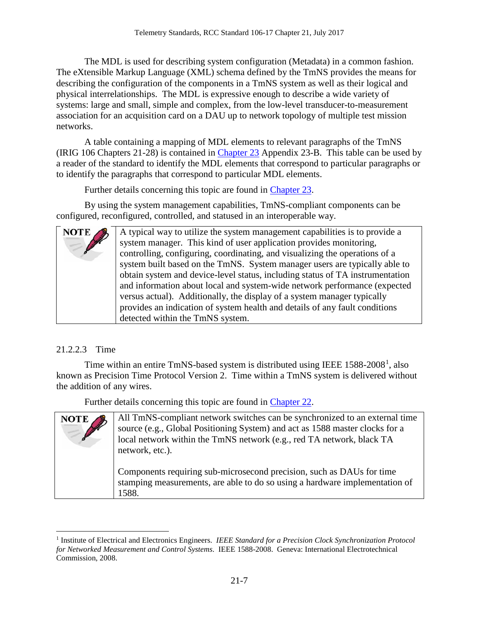The MDL is used for describing system configuration (Metadata) in a common fashion. The eXtensible Markup Language (XML) schema defined by the TmNS provides the means for describing the configuration of the components in a TmNS system as well as their logical and physical interrelationships. The MDL is expressive enough to describe a wide variety of systems: large and small, simple and complex, from the low-level transducer-to-measurement association for an acquisition card on a DAU up to network topology of multiple test mission networks.

A table containing a mapping of MDL elements to relevant paragraphs of the TmNS (IRIG 106 Chapters 21-28) is contained in [Chapter 23](http://www.wsmr.army.mil/RCCsite/Documents/106-17_Telemetry_Standards/Chapter23.pdf) Appendix 23-B. This table can be used by a reader of the standard to identify the MDL elements that correspond to particular paragraphs or to identify the paragraphs that correspond to particular MDL elements.

Further details concerning this topic are found in [Chapter 23.](http://www.wsmr.army.mil/RCCsite/Documents/106-17_Telemetry_Standards/Chapter23.pdf)

By using the system management capabilities, TmNS-compliant components can be configured, reconfigured, controlled, and statused in an interoperable way.

> A typical way to utilize the system management capabilities is to provide a system manager. This kind of user application provides monitoring, controlling, configuring, coordinating, and visualizing the operations of a system built based on the TmNS. System manager users are typically able to obtain system and device-level status, including status of TA instrumentation and information about local and system-wide network performance (expected versus actual). Additionally, the display of a system manager typically provides an indication of system health and details of any fault conditions detected within the TmNS system.

## 21.2.2.3 Time

**NOTE** 

Time within an entire TmNS-based system is distributed using IEEE  $1588-2008^1$  $1588-2008^1$ , also known as Precision Time Protocol Version 2. Time within a TmNS system is delivered without the addition of any wires.

Further details concerning this topic are found in [Chapter 22.](http://www.wsmr.army.mil/RCCsite/Documents/106-17_Telemetry_Standards/Chapter22.pdf)

| <b>NOTE</b> | All TmNS-compliant network switches can be synchronized to an external time<br>source (e.g., Global Positioning System) and act as 1588 master clocks for a<br>local network within the TmNS network (e.g., red TA network, black TA<br>network, etc.). |
|-------------|---------------------------------------------------------------------------------------------------------------------------------------------------------------------------------------------------------------------------------------------------------|
|             | Components requiring sub-microsecond precision, such as DAUs for time<br>stamping measurements, are able to do so using a hardware implementation of<br>1588.                                                                                           |

<span id="page-10-0"></span> <sup>1</sup> Institute of Electrical and Electronics Engineers. *IEEE Standard for a Precision Clock Synchronization Protocol for Networked Measurement and Control Systems*. IEEE 1588-2008. Geneva: International Electrotechnical Commission, 2008.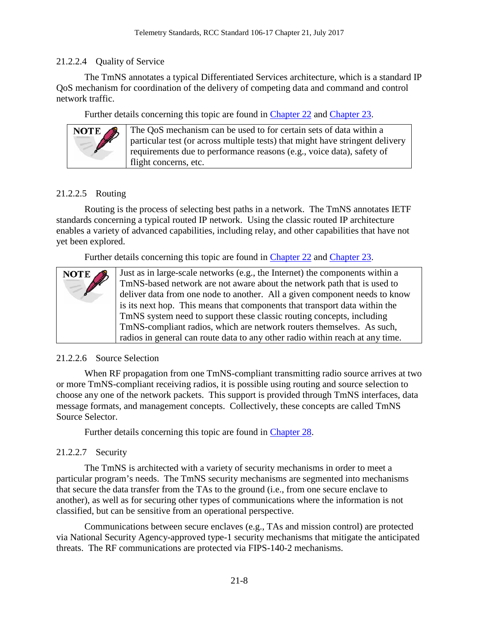### 21.2.2.4 Quality of Service

The TmNS annotates a typical Differentiated Services architecture, which is a standard IP QoS mechanism for coordination of the delivery of competing data and command and control network traffic.

Further details concerning this topic are found in [Chapter 22](http://www.wsmr.army.mil/RCCsite/Documents/106-17_Telemetry_Standards/Chapter22.pdf) and [Chapter 23.](http://www.wsmr.army.mil/RCCsite/Documents/106-17_Telemetry_Standards/Chapter23.pdf)



The QoS mechanism can be used to for certain sets of data within a particular test (or across multiple tests) that might have stringent delivery requirements due to performance reasons (e.g., voice data), safety of flight concerns, etc.

## 21.2.2.5 Routing

Routing is the process of selecting best paths in a network. The TmNS annotates IETF standards concerning a typical routed IP network. Using the classic routed IP architecture enables a variety of advanced capabilities, including relay, and other capabilities that have not yet been explored.

Further details concerning this topic are found in [Chapter 22](http://www.wsmr.army.mil/RCCsite/Documents/106-17_Telemetry_Standards/Chapter22.pdf) and [Chapter 23.](http://www.wsmr.army.mil/RCCsite/Documents/106-17_Telemetry_Standards/Chapter23.pdf)

|                                                                            | Just as in large-scale networks (e.g., the Internet) the components within a  |  |  |  |  |  |  |
|----------------------------------------------------------------------------|-------------------------------------------------------------------------------|--|--|--|--|--|--|
| NOTE                                                                       | TmNS-based network are not aware about the network path that is used to       |  |  |  |  |  |  |
|                                                                            | deliver data from one node to another. All a given component needs to know    |  |  |  |  |  |  |
| is its next hop. This means that components that transport data within the |                                                                               |  |  |  |  |  |  |
|                                                                            | TmNS system need to support these classic routing concepts, including         |  |  |  |  |  |  |
| TmNS-compliant radios, which are network routers themselves. As such,      |                                                                               |  |  |  |  |  |  |
|                                                                            | radios in general can route data to any other radio within reach at any time. |  |  |  |  |  |  |

#### 21.2.2.6 Source Selection

When RF propagation from one TmNS-compliant transmitting radio source arrives at two or more TmNS-compliant receiving radios, it is possible using routing and source selection to choose any one of the network packets. This support is provided through TmNS interfaces, data message formats, and management concepts. Collectively, these concepts are called TmNS Source Selector.

Further details concerning this topic are found in [Chapter 28.](http://www.wsmr.army.mil/RCCsite/Documents/106-17_Telemetry_Standards/Chapter28.pdf)

## 21.2.2.7 Security

The TmNS is architected with a variety of security mechanisms in order to meet a particular program's needs. The TmNS security mechanisms are segmented into mechanisms that secure the data transfer from the TAs to the ground (i.e., from one secure enclave to another), as well as for securing other types of communications where the information is not classified, but can be sensitive from an operational perspective.

Communications between secure enclaves (e.g., TAs and mission control) are protected via National Security Agency-approved type-1 security mechanisms that mitigate the anticipated threats. The RF communications are protected via FIPS-140-2 mechanisms.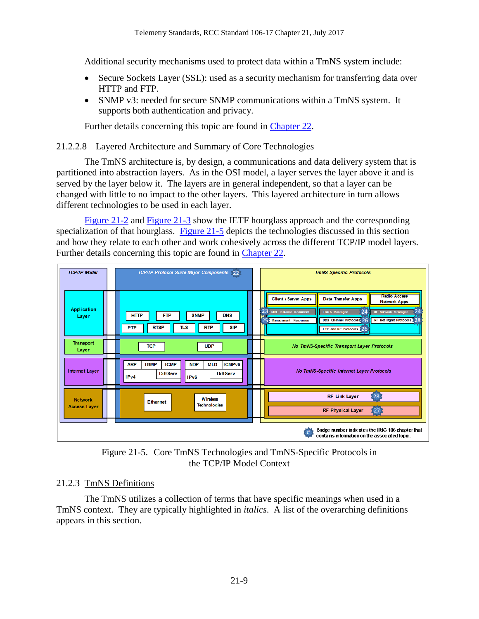Additional security mechanisms used to protect data within a TmNS system include:

- Secure Sockets Layer (SSL): used as a security mechanism for transferring data over HTTP and FTP.
- SNMP v3: needed for secure SNMP communications within a TmNS system. It supports both authentication and privacy.

Further details concerning this topic are found in [Chapter 22.](http://www.wsmr.army.mil/RCCsite/Documents/106-17_Telemetry_Standards/Chapter22.pdf)

21.2.2.8 Layered Architecture and Summary of Core Technologies

The TmNS architecture is, by design, a communications and data delivery system that is partitioned into abstraction layers. As in the OSI model, a layer serves the layer above it and is served by the layer below it. The layers are in general independent, so that a layer can be changed with little to no impact to the other layers. This layered architecture in turn allows different technologies to be used in each layer.

[Figure 21-2](#page-8-1) and [Figure 21-3](#page-8-2) show the IETF hourglass approach and the corresponding specialization of that hourglass. [Figure 21-5](#page-12-1) depicts the technologies discussed in this section and how they relate to each other and work cohesively across the different TCP/IP model layers. Further details concerning this topic are found in [Chapter 22.](http://www.wsmr.army.mil/RCCsite/Documents/106-17_Telemetry_Standards/Chapter22.pdf)



Figure 21-5. Core TmNS Technologies and TmNS-Specific Protocols in the TCP/IP Model Context

## <span id="page-12-1"></span><span id="page-12-0"></span>21.2.3 TmNS Definitions

The TmNS utilizes a collection of terms that have specific meanings when used in a TmNS context. They are typically highlighted in *italics*. A list of the overarching definitions appears in this section.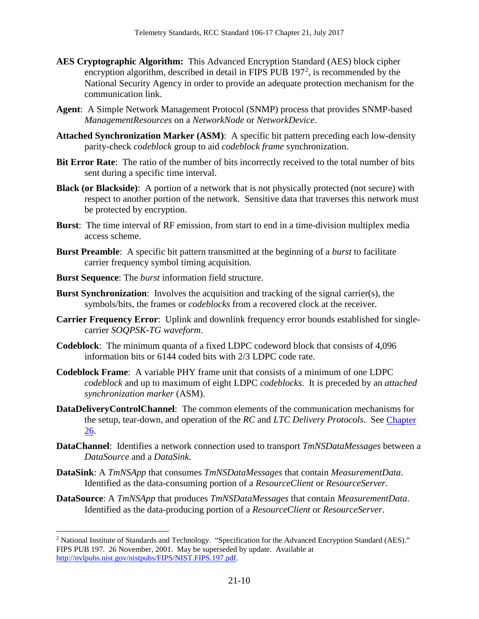- **AES Cryptographic Algorithm:** This Advanced Encryption Standard (AES) block cipher encryption algorithm, described in detail in FIPS PUB  $197<sup>2</sup>$  $197<sup>2</sup>$  $197<sup>2</sup>$ , is recommended by the National Security Agency in order to provide an adequate protection mechanism for the communication link.
- **Agent**: A Simple Network Management Protocol (SNMP) process that provides SNMP-based *ManagementResources* on a *NetworkNode* or *NetworkDevice*.
- **Attached Synchronization Marker (ASM)**: A specific bit pattern preceding each low-density parity-check *codeblock* group to aid *codeblock frame* synchronization.
- **Bit Error Rate**: The ratio of the number of bits incorrectly received to the total number of bits sent during a specific time interval.
- **Black (or Blackside)**: A portion of a network that is not physically protected (not secure) with respect to another portion of the network. Sensitive data that traverses this network must be protected by encryption.
- **Burst**: The time interval of RF emission, from start to end in a time-division multiplex media access scheme.
- **Burst Preamble**: A specific bit pattern transmitted at the beginning of a *burst* to facilitate carrier frequency symbol timing acquisition.
- **Burst Sequence**: The *burst* information field structure.
- **Burst Synchronization**: Involves the acquisition and tracking of the signal carrier(s), the symbols/bits, the frames or *codeblocks* from a recovered clock at the receiver.
- **Carrier Frequency Error**: Uplink and downlink frequency error bounds established for singlecarrier *SOQPSK-TG waveform*.
- **Codeblock**: The minimum quanta of a fixed LDPC codeword block that consists of 4,096 information bits or 6144 coded bits with 2/3 LDPC code rate.
- **Codeblock Frame**: A variable PHY frame unit that consists of a minimum of one LDPC *codeblock* and up to maximum of eight LDPC *codeblocks*. It is preceded by an *attached synchronization marker* (ASM).
- **DataDeliveryControlChannel**: The common elements of the communication mechanisms for the setup, tear-down, and operation of the *RC* and *LTC Delivery Protocols*. See [Chapter](http://www.wsmr.army.mil/RCCsite/Documents/106-17_Telemetry_Standards/Chapter26.pdf)  [26.](http://www.wsmr.army.mil/RCCsite/Documents/106-17_Telemetry_Standards/Chapter26.pdf)
- **DataChannel**: Identifies a network connection used to transport *TmNSDataMessages* between a *DataSource* and a *DataSink.*
- **DataSink**: A *TmNSApp* that consumes *TmNSDataMessages* that contain *MeasurementData*. Identified as the data-consuming portion of a *ResourceClient* or *ResourceServer*.
- **DataSource**: A *TmNSApp* that produces *TmNSDataMessages* that contain *MeasurementData*. Identified as the data-producing portion of a *ResourceClient* or *ResourceServer*.

<span id="page-13-0"></span> <sup>2</sup> National Institute of Standards and Technology. "Specification for the Advanced Encryption Standard (AES)." FIPS PUB 197. 26 November, 2001. May be superseded by update. Available at [http://nvlpubs.nist.gov/nistpubs/FIPS/NIST.FIPS.197.pdf.](http://nvlpubs.nist.gov/nistpubs/FIPS/NIST.FIPS.197.pdf)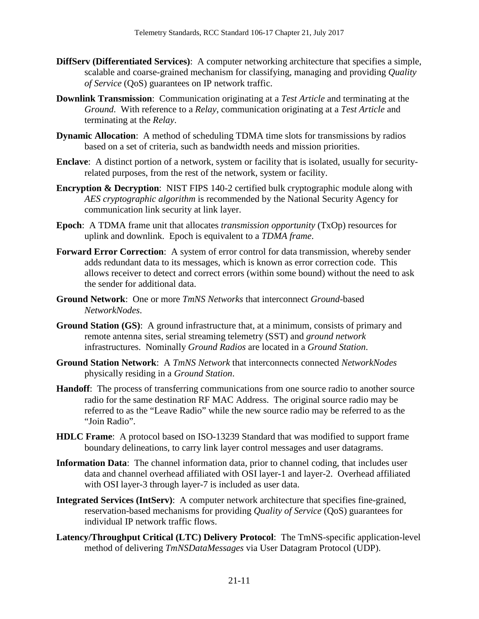- **DiffServ (Differentiated Services)**: A computer networking architecture that specifies a simple, scalable and coarse-grained mechanism for classifying, managing and providing *Quality of Service* (QoS) guarantees on IP network traffic.
- **Downlink Transmission**: Communication originating at a *Test Article* and terminating at the *Ground*. With reference to a *Relay*, communication originating at a *Test Article* and terminating at the *Relay*.
- **Dynamic Allocation**: A method of scheduling TDMA time slots for transmissions by radios based on a set of criteria, such as bandwidth needs and mission priorities.
- **Enclave**: A distinct portion of a network, system or facility that is isolated, usually for securityrelated purposes, from the rest of the network, system or facility.
- **Encryption & Decryption:** NIST FIPS 140-2 certified bulk cryptographic module along with *AES cryptographic algorithm* is recommended by the National Security Agency for communication link security at link layer.
- **Epoch**: A TDMA frame unit that allocates *transmission opportunity* (TxOp) resources for uplink and downlink. Epoch is equivalent to a *TDMA frame*.
- **Forward Error Correction**: A system of error control for data transmission, whereby sender adds redundant data to its messages, which is known as error correction code. This allows receiver to detect and correct errors (within some bound) without the need to ask the sender for additional data.
- **Ground Network**: One or more *TmNS Networks* that interconnect *Ground*-based *NetworkNodes*.
- **Ground Station (GS)**: A ground infrastructure that, at a minimum, consists of primary and remote antenna sites, serial streaming telemetry (SST) and *ground network* infrastructures. Nominally *Ground Radios* are located in a *Ground Station*.
- **Ground Station Network**: A *TmNS Network* that interconnects connected *NetworkNodes* physically residing in a *Ground Station*.
- **Handoff**: The process of transferring communications from one source radio to another source radio for the same destination RF MAC Address. The original source radio may be referred to as the "Leave Radio" while the new source radio may be referred to as the "Join Radio".
- **HDLC Frame**: A protocol based on ISO-13239 Standard that was modified to support frame boundary delineations, to carry link layer control messages and user datagrams.
- **Information Data**: The channel information data, prior to channel coding, that includes user data and channel overhead affiliated with OSI layer-1 and layer-2. Overhead affiliated with OSI layer-3 through layer-7 is included as user data.
- **Integrated Services (IntServ)**: A computer network architecture that specifies fine-grained, reservation-based mechanisms for providing *Quality of Service* (QoS) guarantees for individual IP network traffic flows.
- **Latency/Throughput Critical (LTC) Delivery Protocol**: The TmNS-specific application-level method of delivering *TmNSDataMessages* via User Datagram Protocol (UDP).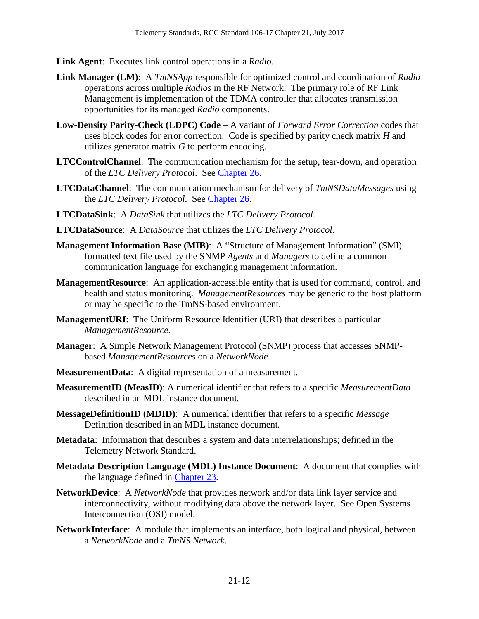- **Link Agent**: Executes link control operations in a *Radio*.
- **Link Manager (LM)**: A *TmNSApp* responsible for optimized control and coordination of *Radio* operations across multiple *Radios* in the RF Network. The primary role of RF Link Management is implementation of the TDMA controller that allocates transmission opportunities for its managed *Radio* components.
- **Low-Density Parity-Check (LDPC) Code** A variant of *Forward Error Correction* codes that uses block codes for error correction. Code is specified by parity check matrix *H* and utilizes generator matrix *G* to perform encoding.
- **LTCControlChannel**: The communication mechanism for the setup, tear-down, and operation of the *LTC Delivery Protocol*. See [Chapter 26.](http://www.wsmr.army.mil/RCCsite/Documents/106-17_Telemetry_Standards/Chapter26.pdf)
- **LTCDataChannel**: The communication mechanism for delivery of *TmNSDataMessages* using the *LTC Delivery Protocol*. See [Chapter 26.](http://www.wsmr.army.mil/RCCsite/Documents/106-17_Telemetry_Standards/Chapter26.pdf)
- **LTCDataSink**: A *DataSink* that utilizes the *LTC Delivery Protocol*.
- **LTCDataSource**: A *DataSource* that utilizes the *LTC Delivery Protocol*.
- **Management Information Base (MIB)**: A "Structure of Management Information" (SMI) formatted text file used by the SNMP *Agents* and *Managers* to define a common communication language for exchanging management information.
- **ManagementResource**: An application-accessible entity that is used for command, control, and health and status monitoring. *ManagementResources* may be generic to the host platform or may be specific to the TmNS-based environment.
- **ManagementURI:** The Uniform Resource Identifier (URI) that describes a particular *ManagementResource*.
- **Manager**: A Simple Network Management Protocol (SNMP) process that accesses SNMPbased *ManagementResources* on a *NetworkNode*.
- **MeasurementData**: A digital representation of a measurement.
- **MeasurementID (MeasID)**: A numerical identifier that refers to a specific *MeasurementData* described in an MDL instance document*.*
- **MessageDefinitionID (MDID)**: A numerical identifier that refers to a specific *Message* Definition described in an MDL instance document*.*
- **Metadata**: Information that describes a system and data interrelationships; defined in the Telemetry Network Standard.
- **Metadata Description Language (MDL) Instance Document**: A document that complies with the language defined in [Chapter 23.](http://www.wsmr.army.mil/RCCsite/Documents/106-17_Telemetry_Standards/Chapter23.pdf)
- **NetworkDevice**: A *NetworkNode* that provides network and/or data link layer service and interconnectivity, without modifying data above the network layer. See Open Systems Interconnection (OSI) model.
- **NetworkInterface**: A module that implements an interface, both logical and physical, between a *NetworkNode* and a *TmNS Network*.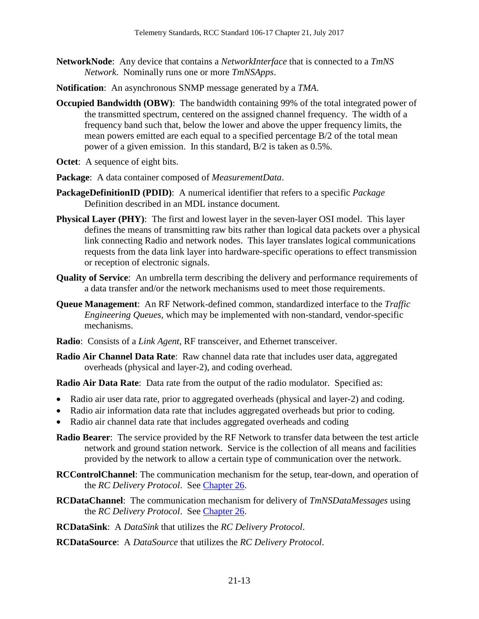- **NetworkNode**: Any device that contains a *NetworkInterface* that is connected to a *TmNS Network*. Nominally runs one or more *TmNSApps*.
- **Notification**: An asynchronous SNMP message generated by a *TMA*.
- **Occupied Bandwidth (OBW):** The bandwidth containing 99% of the total integrated power of the transmitted spectrum, centered on the assigned channel frequency. The width of a frequency band such that, below the lower and above the upper frequency limits, the mean powers emitted are each equal to a specified percentage B/2 of the total mean power of a given emission. In this standard, B/2 is taken as 0.5%.
- **Octet:** A sequence of eight bits.
- **Package**: A data container composed of *MeasurementData*.
- **PackageDefinitionID (PDID)**: A numerical identifier that refers to a specific *Package*  Definition described in an MDL instance document*.*
- **Physical Layer (PHY)**: The first and lowest layer in the seven-layer OSI model. This layer defines the means of transmitting raw bits rather than logical data packets over a physical link connecting Radio and network nodes. This layer translates logical communications requests from the data link layer into hardware-specific operations to effect transmission or reception of electronic signals.
- **Quality of Service**: An umbrella term describing the delivery and performance requirements of a data transfer and/or the network mechanisms used to meet those requirements.
- **Queue Management**: An RF Network-defined common, standardized interface to the *Traffic Engineering Queues*, which may be implemented with non-standard, vendor-specific mechanisms.
- **Radio**: Consists of a *Link Agent*, RF transceiver, and Ethernet transceiver.
- **Radio Air Channel Data Rate**: Raw channel data rate that includes user data, aggregated overheads (physical and layer-2), and coding overhead.

**Radio Air Data Rate:** Data rate from the output of the radio modulator. Specified as:

- Radio air user data rate, prior to aggregated overheads (physical and layer-2) and coding.
- Radio air information data rate that includes aggregated overheads but prior to coding.
- Radio air channel data rate that includes aggregated overheads and coding
- **Radio Bearer**: The service provided by the RF Network to transfer data between the test article network and ground station network. Service is the collection of all means and facilities provided by the network to allow a certain type of communication over the network.
- **RCControlChannel**: The communication mechanism for the setup, tear-down, and operation of the *RC Delivery Protocol*. See [Chapter 26.](http://www.wsmr.army.mil/RCCsite/Documents/106-17_Telemetry_Standards/Chapter26.pdf)
- **RCDataChannel**: The communication mechanism for delivery of *TmNSDataMessages* using the *RC Delivery Protocol*. See [Chapter 26.](http://www.wsmr.army.mil/RCCsite/Documents/106-17_Telemetry_Standards/Chapter26.pdf)
- **RCDataSink**: A *DataSink* that utilizes the *RC Delivery Protocol*.
- **RCDataSource**: A *DataSource* that utilizes the *RC Delivery Protocol*.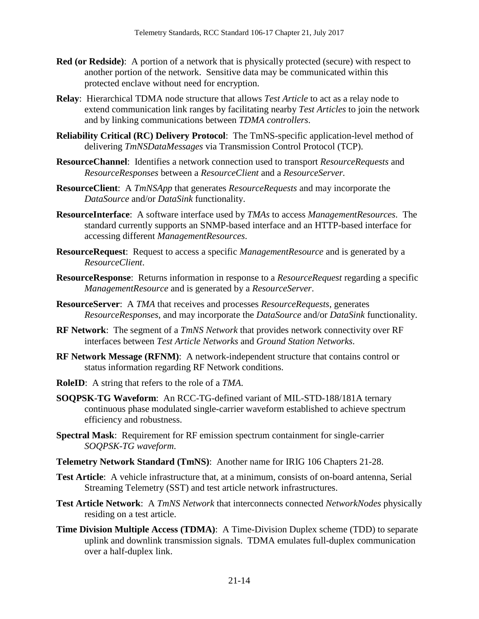- **Red (or Redside)**: A portion of a network that is physically protected (secure) with respect to another portion of the network. Sensitive data may be communicated within this protected enclave without need for encryption.
- **Relay**: Hierarchical TDMA node structure that allows *Test Article* to act as a relay node to extend communication link ranges by facilitating nearby *Test Articles* to join the network and by linking communications between *TDMA controllers*.
- **Reliability Critical (RC) Delivery Protocol**: The TmNS-specific application-level method of delivering *TmNSDataMessages* via Transmission Control Protocol (TCP).
- **ResourceChannel**: Identifies a network connection used to transport *ResourceRequests* and *ResourceResponses* between a *ResourceClient* and a *ResourceServer.*
- **ResourceClient**: A *TmNSApp* that generates *ResourceRequests* and may incorporate the *DataSource* and/or *DataSink* functionality.
- **ResourceInterface**: A software interface used by *TMAs* to access *ManagementResources*. The standard currently supports an SNMP-based interface and an HTTP-based interface for accessing different *ManagementResources*.
- **ResourceRequest**: Request to access a specific *ManagementResource* and is generated by a *ResourceClient*.
- **ResourceResponse**: Returns information in response to a *ResourceRequest* regarding a specific *ManagementResource* and is generated by a *ResourceServer*.
- **ResourceServer**: A *TMA* that receives and processes *ResourceRequests*, generates *ResourceResponses*, and may incorporate the *DataSource* and/or *DataSink* functionality.
- **RF Network**: The segment of a *TmNS Network* that provides network connectivity over RF interfaces between *Test Article Networks* and *Ground Station Networks*.
- **RF Network Message (RFNM)**: A network-independent structure that contains control or status information regarding RF Network conditions.
- **RoleID**: A string that refers to the role of a *TMA*.
- **SOQPSK-TG Waveform**: An RCC-TG-defined variant of MIL-STD-188/181A ternary continuous phase modulated single-carrier waveform established to achieve spectrum efficiency and robustness.
- **Spectral Mask**: Requirement for RF emission spectrum containment for single-carrier *SOQPSK-TG waveform*.
- **Telemetry Network Standard (TmNS)**: Another name for IRIG 106 Chapters 21-28.
- **Test Article**: A vehicle infrastructure that, at a minimum, consists of on-board antenna, Serial Streaming Telemetry (SST) and test article network infrastructures.
- **Test Article Network**: A *TmNS Network* that interconnects connected *NetworkNodes* physically residing on a test article.
- **Time Division Multiple Access (TDMA)**: A Time-Division Duplex scheme (TDD) to separate uplink and downlink transmission signals. TDMA emulates full-duplex communication over a half-duplex link.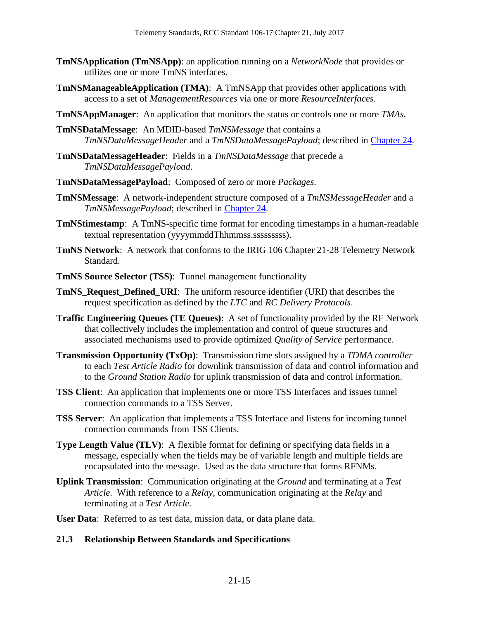- **TmNSApplication (TmNSApp)**: an application running on a *NetworkNode* that provides or utilizes one or more TmNS interfaces.
- **TmNSManageableApplication (TMA)**: A TmNSApp that provides other applications with access to a set of *ManagementResources* via one or more *ResourceInterfaces*.
- **TmNSAppManager**: An application that monitors the status or controls one or more *TMAs.*
- **TmNSDataMessage**: An MDID-based *TmNSMessage* that contains a *TmNSDataMessageHeader* and a *TmNSDataMessagePayload*; described in [Chapter 24.](http://www.wsmr.army.mil/RCCsite/Documents/106-17_Telemetry_Standards/Chapter24.pdf)
- **TmNSDataMessageHeader**: Fields in a *TmNSDataMessage* that precede a *TmNSDataMessagePayload*.
- **TmNSDataMessagePayload**: Composed of zero or more *Packages*.
- **TmNSMessage**: A network-independent structure composed of a *TmNSMessageHeader* and a *TmNSMessagePayload*; described in [Chapter 24.](http://www.wsmr.army.mil/RCCsite/Documents/106-17_Telemetry_Standards/Chapter24.pdf)
- **TmNStimestamp**: A TmNS-specific time format for encoding timestamps in a human-readable textual representation (yyyymmddThhmmss.sssssssss).
- **TmNS Network**: A network that conforms to the IRIG 106 Chapter 21-28 Telemetry Network Standard.
- **TmNS Source Selector (TSS)**: Tunnel management functionality
- **TmNS\_Request\_Defined\_URI**: The uniform resource identifier (URI) that describes the request specification as defined by the *LTC* and *RC Delivery Protocols*.
- **Traffic Engineering Queues (TE Queues)**: A set of functionality provided by the RF Network that collectively includes the implementation and control of queue structures and associated mechanisms used to provide optimized *Quality of Service* performance.
- **Transmission Opportunity (TxOp)**: Transmission time slots assigned by a *TDMA controller* to each *Test Article Radio* for downlink transmission of data and control information and to the *Ground Station Radio* for uplink transmission of data and control information.
- **TSS Client**: An application that implements one or more TSS Interfaces and issues tunnel connection commands to a TSS Server.
- **TSS Server**: An application that implements a TSS Interface and listens for incoming tunnel connection commands from TSS Clients.
- **Type Length Value (TLV):** A flexible format for defining or specifying data fields in a message, especially when the fields may be of variable length and multiple fields are encapsulated into the message. Used as the data structure that forms RFNMs.
- **Uplink Transmission**: Communication originating at the *Ground* and terminating at a *Test Article*. With reference to a *Relay*, communication originating at the *Relay* and terminating at a *Test Article*.

**User Data**: Referred to as test data, mission data, or data plane data.

#### <span id="page-18-0"></span>**21.3 Relationship Between Standards and Specifications**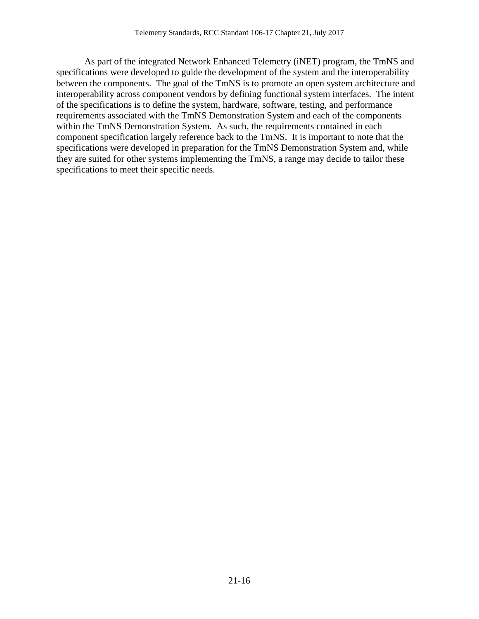As part of the integrated Network Enhanced Telemetry (iNET) program, the TmNS and specifications were developed to guide the development of the system and the interoperability between the components. The goal of the TmNS is to promote an open system architecture and interoperability across component vendors by defining functional system interfaces. The intent of the specifications is to define the system, hardware, software, testing, and performance requirements associated with the TmNS Demonstration System and each of the components within the TmNS Demonstration System. As such, the requirements contained in each component specification largely reference back to the TmNS. It is important to note that the specifications were developed in preparation for the TmNS Demonstration System and, while they are suited for other systems implementing the TmNS, a range may decide to tailor these specifications to meet their specific needs.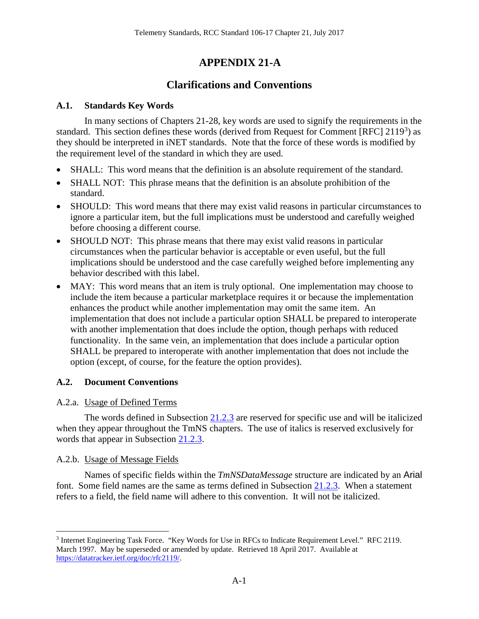# <span id="page-20-0"></span>**APPENDIX 21-A**

## **Clarifications and Conventions**

## <span id="page-20-1"></span>**A.1. Standards Key Words**

In many sections of Chapters 21-28, key words are used to signify the requirements in the standard. This section defines these words (derived from Request for Comment [RFC] 2119<sup>[3](#page-20-5)</sup>) as they should be interpreted in iNET standards. Note that the force of these words is modified by the requirement level of the standard in which they are used.

- SHALL: This word means that the definition is an absolute requirement of the standard.
- SHALL NOT: This phrase means that the definition is an absolute prohibition of the standard.
- SHOULD: This word means that there may exist valid reasons in particular circumstances to ignore a particular item, but the full implications must be understood and carefully weighed before choosing a different course.
- SHOULD NOT: This phrase means that there may exist valid reasons in particular circumstances when the particular behavior is acceptable or even useful, but the full implications should be understood and the case carefully weighed before implementing any behavior described with this label.
- MAY: This word means that an item is truly optional. One implementation may choose to include the item because a particular marketplace requires it or because the implementation enhances the product while another implementation may omit the same item. An implementation that does not include a particular option SHALL be prepared to interoperate with another implementation that does include the option, though perhaps with reduced functionality. In the same vein, an implementation that does include a particular option SHALL be prepared to interoperate with another implementation that does not include the option (except, of course, for the feature the option provides).

## <span id="page-20-2"></span>**A.2. Document Conventions**

## <span id="page-20-3"></span>A.2.a. Usage of Defined Terms

The words defined in Subsection [21.2.3](#page-12-0) are reserved for specific use and will be italicized when they appear throughout the TmNS chapters. The use of italics is reserved exclusively for words that appear in Subsection [21.2.3.](#page-12-0)

## <span id="page-20-4"></span>A.2.b. Usage of Message Fields

Names of specific fields within the *TmNSDataMessage* structure are indicated by an Arial font. Some field names are the same as terms defined in Subsection [21.2.3.](#page-12-0) When a statement refers to a field, the field name will adhere to this convention. It will not be italicized.

<span id="page-20-5"></span> <sup>3</sup> Internet Engineering Task Force. "Key Words for Use in RFCs to Indicate Requirement Level." RFC 2119. March 1997. May be superseded or amended by update. Retrieved 18 April 2017. Available at [https://datatracker.ietf.org/doc/rfc2119/.](https://datatracker.ietf.org/doc/rfc2119/)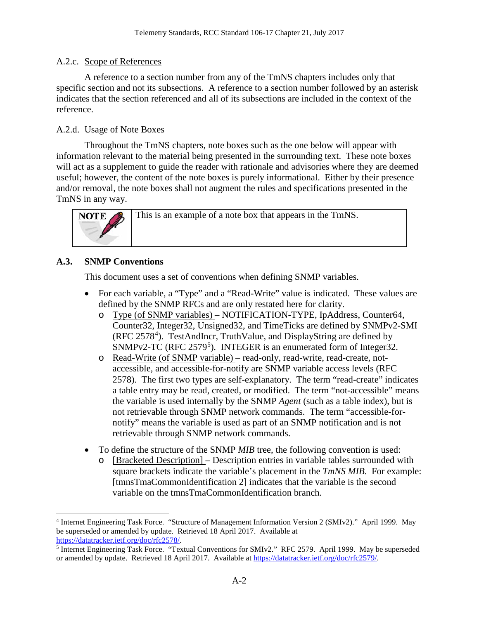#### <span id="page-21-0"></span>A.2.c. Scope of References

A reference to a section number from any of the TmNS chapters includes only that specific section and not its subsections. A reference to a section number followed by an asterisk indicates that the section referenced and all of its subsections are included in the context of the reference.

## <span id="page-21-1"></span>A.2.d. Usage of Note Boxes

Throughout the TmNS chapters, note boxes such as the one below will appear with information relevant to the material being presented in the surrounding text. These note boxes will act as a supplement to guide the reader with rationale and advisories where they are deemed useful; however, the content of the note boxes is purely informational. Either by their presence and/or removal, the note boxes shall not augment the rules and specifications presented in the TmNS in any way.



This is an example of a note box that appears in the TmNS.

### <span id="page-21-2"></span>**A.3. SNMP Conventions**

This document uses a set of conventions when defining SNMP variables.

- For each variable, a "Type" and a "Read-Write" value is indicated. These values are defined by the SNMP RFCs and are only restated here for clarity.
	- o Type (of SNMP variables) NOTIFICATION-TYPE, IpAddress, Counter64, Counter32, Integer32, Unsigned32, and TimeTicks are defined by SNMPv2-SMI (RFC 2578<sup>[4](#page-21-3)</sup>). TestAndIncr, TruthValue, and DisplayString are defined by SNMPv2-TC (RFC 2[5](#page-21-4)79<sup>5</sup>). INTEGER is an enumerated form of Integer32.
	- o Read-Write (of SNMP variable) read-only, read-write, read-create, notaccessible, and accessible-for-notify are SNMP variable access levels (RFC 2578). The first two types are self-explanatory. The term "read-create" indicates a table entry may be read, created, or modified. The term "not-accessible" means the variable is used internally by the SNMP *Agent* (such as a table index), but is not retrievable through SNMP network commands. The term "accessible-fornotify" means the variable is used as part of an SNMP notification and is not retrievable through SNMP network commands.
- To define the structure of the SNMP *MIB* tree, the following convention is used:
	- o [Bracketed Description] Description entries in variable tables surrounded with square brackets indicate the variable's placement in the *TmNS MIB*. For example: [tmnsTmaCommonIdentification 2] indicates that the variable is the second variable on the tmnsTmaCommonIdentification branch.

<span id="page-21-3"></span> <sup>4</sup> Internet Engineering Task Force. "Structure of Management Information Version 2 (SMIv2)." April 1999. May be superseded or amended by update. Retrieved 18 April 2017. Available at [https://datatracker.ietf.org/doc/rfc2578/.](https://datatracker.ietf.org/doc/rfc2578/)

<span id="page-21-4"></span><sup>&</sup>lt;sup>5</sup> Internet Engineering Task Force. "Textual Conventions for SMIv2." RFC 2579. April 1999. May be superseded or amended by update. Retrieved 18 April 2017. Available at [https://datatracker.ietf.org/doc/rfc2579/.](https://datatracker.ietf.org/doc/rfc2579/)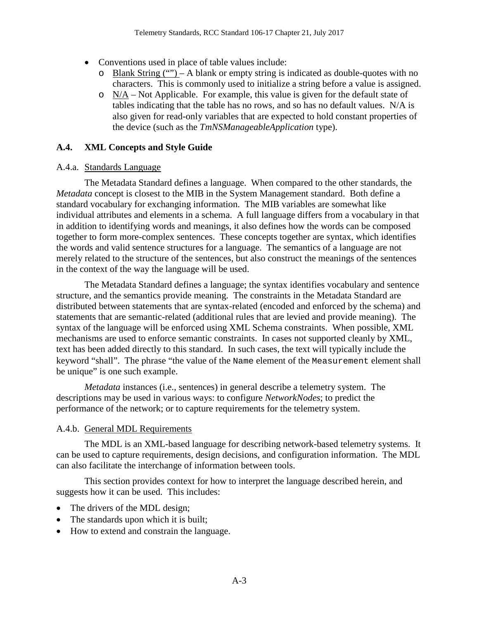- Conventions used in place of table values include:
	- o Blank String  $($ <sup>(co</sup>) A blank or empty string is indicated as double-quotes with no characters. This is commonly used to initialize a string before a value is assigned.
	- $\circ$  N/A Not Applicable. For example, this value is given for the default state of tables indicating that the table has no rows, and so has no default values. N/A is also given for read-only variables that are expected to hold constant properties of the device (such as the *TmNSManageableApplication* type).

#### <span id="page-22-0"></span>**A.4. XML Concepts and Style Guide**

#### <span id="page-22-1"></span>A.4.a. Standards Language

The Metadata Standard defines a language. When compared to the other standards, the *Metadata* concept is closest to the MIB in the System Management standard. Both define a standard vocabulary for exchanging information. The MIB variables are somewhat like individual attributes and elements in a schema. A full language differs from a vocabulary in that in addition to identifying words and meanings, it also defines how the words can be composed together to form more-complex sentences. These concepts together are syntax, which identifies the words and valid sentence structures for a language. The semantics of a language are not merely related to the structure of the sentences, but also construct the meanings of the sentences in the context of the way the language will be used.

The Metadata Standard defines a language; the syntax identifies vocabulary and sentence structure, and the semantics provide meaning. The constraints in the Metadata Standard are distributed between statements that are syntax-related (encoded and enforced by the schema) and statements that are semantic-related (additional rules that are levied and provide meaning). The syntax of the language will be enforced using XML Schema constraints. When possible, XML mechanisms are used to enforce semantic constraints. In cases not supported cleanly by XML, text has been added directly to this standard. In such cases, the text will typically include the keyword "shall". The phrase "the value of the Name element of the Measurement element shall be unique" is one such example.

*Metadata* instances (i.e., sentences) in general describe a telemetry system. The descriptions may be used in various ways: to configure *NetworkNodes*; to predict the performance of the network; or to capture requirements for the telemetry system.

#### <span id="page-22-2"></span>A.4.b. General MDL Requirements

The MDL is an XML-based language for describing network-based telemetry systems. It can be used to capture requirements, design decisions, and configuration information. The MDL can also facilitate the interchange of information between tools.

This section provides context for how to interpret the language described herein, and suggests how it can be used. This includes:

- The drivers of the MDL design;
- The standards upon which it is built;
- How to extend and constrain the language.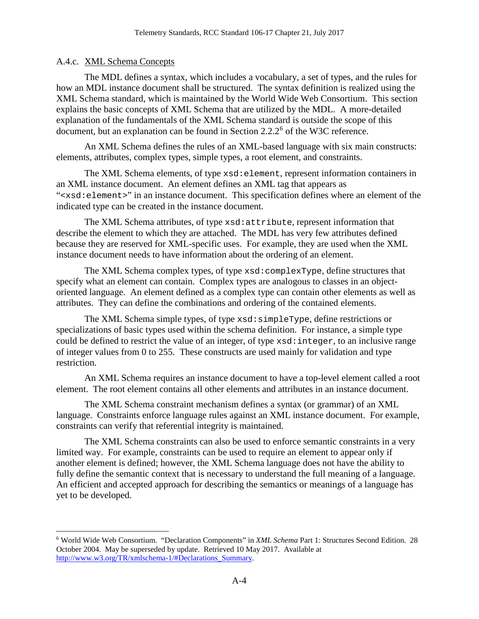#### <span id="page-23-0"></span>A.4.c. XML Schema Concepts

The MDL defines a syntax, which includes a vocabulary, a set of types, and the rules for how an MDL instance document shall be structured. The syntax definition is realized using the XML Schema standard, which is maintained by the World Wide Web Consortium. This section explains the basic concepts of XML Schema that are utilized by the MDL. A more-detailed explanation of the fundamentals of the XML Schema standard is outside the scope of this document, but an explanation can be found in Section  $2.2 \cdot 2^6$  $2.2 \cdot 2^6$  of the W3C reference.

An XML Schema defines the rules of an XML-based language with six main constructs: elements, attributes, complex types, simple types, a root element, and constraints.

The XML Schema elements, of type xsd:element, represent information containers in an XML instance document. An element defines an XML tag that appears as "<xsd:element>" in an instance document. This specification defines where an element of the indicated type can be created in the instance document.

The XML Schema attributes, of type xsd:attribute, represent information that describe the element to which they are attached. The MDL has very few attributes defined because they are reserved for XML-specific uses. For example, they are used when the XML instance document needs to have information about the ordering of an element.

The XML Schema complex types, of type xsd:complexType, define structures that specify what an element can contain. Complex types are analogous to classes in an objectoriented language. An element defined as a complex type can contain other elements as well as attributes. They can define the combinations and ordering of the contained elements.

The XML Schema simple types, of type xsd:simpleType, define restrictions or specializations of basic types used within the schema definition. For instance, a simple type could be defined to restrict the value of an integer, of type xsd:integer, to an inclusive range of integer values from 0 to 255. These constructs are used mainly for validation and type restriction.

An XML Schema requires an instance document to have a top-level element called a root element. The root element contains all other elements and attributes in an instance document.

The XML Schema constraint mechanism defines a syntax (or grammar) of an XML language. Constraints enforce language rules against an XML instance document. For example, constraints can verify that referential integrity is maintained.

The XML Schema constraints can also be used to enforce semantic constraints in a very limited way. For example, constraints can be used to require an element to appear only if another element is defined; however, the XML Schema language does not have the ability to fully define the semantic context that is necessary to understand the full meaning of a language. An efficient and accepted approach for describing the semantics or meanings of a language has yet to be developed.

<span id="page-23-1"></span> <sup>6</sup> World Wide Web Consortium. "Declaration Components" in *XML Schema* Part 1: Structures Second Edition. 28 October 2004. May be superseded by update. Retrieved 10 May 2017. Available at [http://www.w3.org/TR/xmlschema-1/#Declarations\\_Summary.](http://www.w3.org/TR/xmlschema-1/#Declarations_Summary)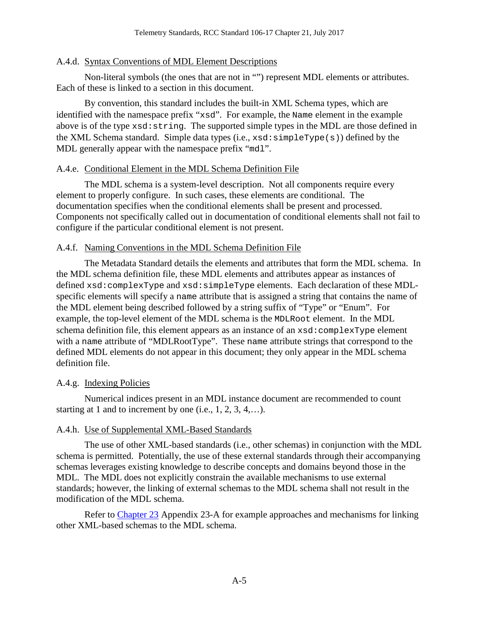#### <span id="page-24-0"></span>A.4.d. Syntax Conventions of MDL Element Descriptions

Non-literal symbols (the ones that are not in "") represent MDL elements or attributes. Each of these is linked to a section in this document.

By convention, this standard includes the built-in XML Schema types, which are identified with the namespace prefix "xsd". For example, the Name element in the example above is of the type xsd:string. The supported simple types in the MDL are those defined in the XML Schema standard. Simple data types (i.e.,  $xsd:simpleType(s)$ ) defined by the MDL generally appear with the namespace prefix "mdl".

#### <span id="page-24-1"></span>A.4.e. Conditional Element in the MDL Schema Definition File

The MDL schema is a system-level description. Not all components require every element to properly configure. In such cases, these elements are conditional. The documentation specifies when the conditional elements shall be present and processed. Components not specifically called out in documentation of conditional elements shall not fail to configure if the particular conditional element is not present.

#### <span id="page-24-2"></span>A.4.f. Naming Conventions in the MDL Schema Definition File

The Metadata Standard details the elements and attributes that form the MDL schema. In the MDL schema definition file, these MDL elements and attributes appear as instances of defined xsd:complexType and xsd:simpleType elements. Each declaration of these MDLspecific elements will specify a name attribute that is assigned a string that contains the name of the MDL element being described followed by a string suffix of "Type" or "Enum". For example, the top-level element of the MDL schema is the MDLRoot element. In the MDL schema definition file, this element appears as an instance of an  $xsd:complexType$  element with a name attribute of "MDLRootType". These name attribute strings that correspond to the defined MDL elements do not appear in this document; they only appear in the MDL schema definition file.

#### <span id="page-24-3"></span>A.4.g. Indexing Policies

Numerical indices present in an MDL instance document are recommended to count starting at 1 and to increment by one (i.e.,  $1, 2, 3, 4,...$ ).

#### <span id="page-24-4"></span>A.4.h. Use of Supplemental XML-Based Standards

The use of other XML-based standards (i.e., other schemas) in conjunction with the MDL schema is permitted. Potentially, the use of these external standards through their accompanying schemas leverages existing knowledge to describe concepts and domains beyond those in the MDL. The MDL does not explicitly constrain the available mechanisms to use external standards; however, the linking of external schemas to the MDL schema shall not result in the modification of the MDL schema.

Refer to [Chapter 23](http://www.wsmr.army.mil/RCCsite/Documents/106-17_Telemetry_Standards/Chapter23.pdf) Appendix 23-A for example approaches and mechanisms for linking other XML-based schemas to the MDL schema.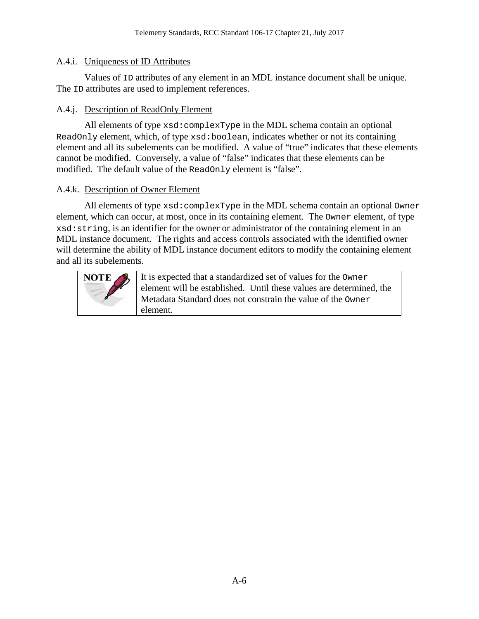#### <span id="page-25-0"></span>A.4.i. Uniqueness of ID Attributes

Values of ID attributes of any element in an MDL instance document shall be unique. The ID attributes are used to implement references.

#### <span id="page-25-1"></span>A.4.j. Description of ReadOnly Element

All elements of type  $x \text{sd}: \text{complexType}$  in the MDL schema contain an optional ReadOnly element, which, of type xsd:boolean, indicates whether or not its containing element and all its subelements can be modified. A value of "true" indicates that these elements cannot be modified. Conversely, a value of "false" indicates that these elements can be modified. The default value of the ReadOnly element is "false".

#### <span id="page-25-2"></span>A.4.k. Description of Owner Element

All elements of type  $xsd:complexType$  in the MDL schema contain an optional Owner element, which can occur, at most, once in its containing element. The Owner element, of type xsd:string, is an identifier for the owner or administrator of the containing element in an MDL instance document. The rights and access controls associated with the identified owner will determine the ability of MDL instance document editors to modify the containing element and all its subelements.

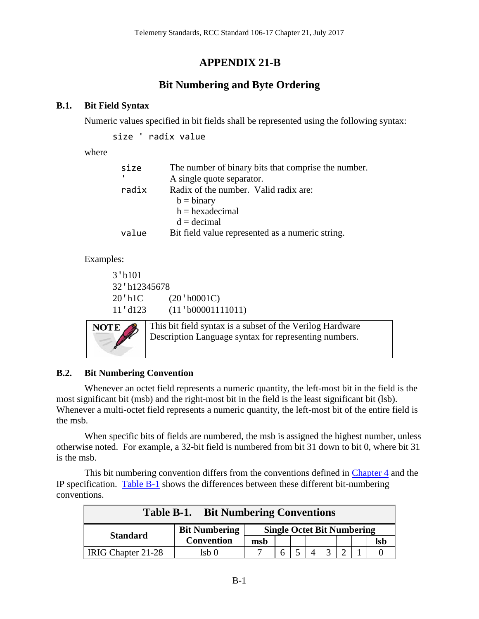## <span id="page-26-0"></span>**APPENDIX 21-B**

# **Bit Numbering and Byte Ordering**

## <span id="page-26-1"></span>**B.1. Bit Field Syntax**

Numeric values specified in bit fields shall be represented using the following syntax:

size ' radix value

where

| size  | The number of binary bits that comprise the number.<br>A single quote separator. |
|-------|----------------------------------------------------------------------------------|
| radix | Radix of the number. Valid radix are:<br>$b = binary$                            |
|       | $h = hexadecimal$                                                                |
|       | $d = decimal$                                                                    |
| value | Bit field value represented as a numeric string.                                 |

Examples:

```
3'b101
32'h12345678
20'h1C (20'h0001C)
11'd123 (11'b00001111011)
```
**NOTE** 

This bit field syntax is a subset of the Verilog Hardware Description Language syntax for representing numbers.

## <span id="page-26-2"></span>**B.2. Bit Numbering Convention**

Whenever an octet field represents a numeric quantity, the left-most bit in the field is the most significant bit (msb) and the right-most bit in the field is the least significant bit (lsb). Whenever a multi-octet field represents a numeric quantity, the left-most bit of the entire field is the msb.

When specific bits of fields are numbered, the msb is assigned the highest number, unless otherwise noted. For example, a 32-bit field is numbered from bit 31 down to bit 0, where bit 31 is the msb.

This bit numbering convention differs from the conventions defined in [Chapter](http://www.wsmr.army.mil/RCCsite/Documents/106-17_Telemetry_Standards/Chapter4.pdf) 4 and the IP specification. [Table B-1](#page-26-3) shows the differences between these different bit-numbering conventions.

<span id="page-26-3"></span>

| <b>Bit Numbering Conventions</b><br>Table B-1. |                      |                                   |  |  |  |  |  |  |     |
|------------------------------------------------|----------------------|-----------------------------------|--|--|--|--|--|--|-----|
| <b>Standard</b>                                | <b>Bit Numbering</b> | <b>Single Octet Bit Numbering</b> |  |  |  |  |  |  |     |
|                                                | <b>Convention</b>    | msb                               |  |  |  |  |  |  | Isb |
| IRIG Chapter 21-28                             | lsh ()               |                                   |  |  |  |  |  |  |     |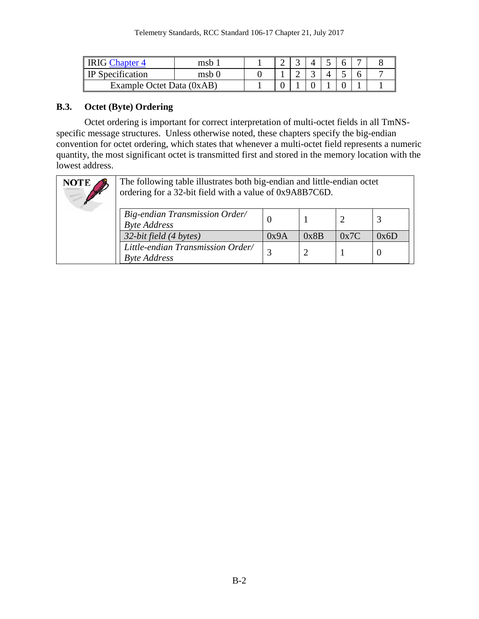| <b>IRIG</b> Chapter 4     | msb   |  |  |  | $\overline{\phantom{0}}$ |  |
|---------------------------|-------|--|--|--|--------------------------|--|
| Specification             | msb ( |  |  |  |                          |  |
| Example Octet Data (0xAB) |       |  |  |  |                          |  |

## <span id="page-27-0"></span>**B.3. Octet (Byte) Ordering**

Octet ordering is important for correct interpretation of multi-octet fields in all TmNSspecific message structures. Unless otherwise noted, these chapters specify the big-endian convention for octet ordering, which states that whenever a multi-octet field represents a numeric quantity, the most significant octet is transmitted first and stored in the memory location with the lowest address.

| <b>NOTE</b> | The following table illustrates both big-endian and little-endian octet<br>ordering for a 32-bit field with a value of 0x9A8B7C6D. |   |  |  |   |  |  |  |  |
|-------------|------------------------------------------------------------------------------------------------------------------------------------|---|--|--|---|--|--|--|--|
|             | Big-endian Transmission Order/<br>0<br><b>Byte Address</b>                                                                         |   |  |  |   |  |  |  |  |
|             | 32-bit field (4 bytes)<br>0x7C<br>0x8B<br>0x9A<br>0x6D                                                                             |   |  |  |   |  |  |  |  |
|             | Little-endian Transmission Order/<br><b>Byte Address</b>                                                                           | 3 |  |  | O |  |  |  |  |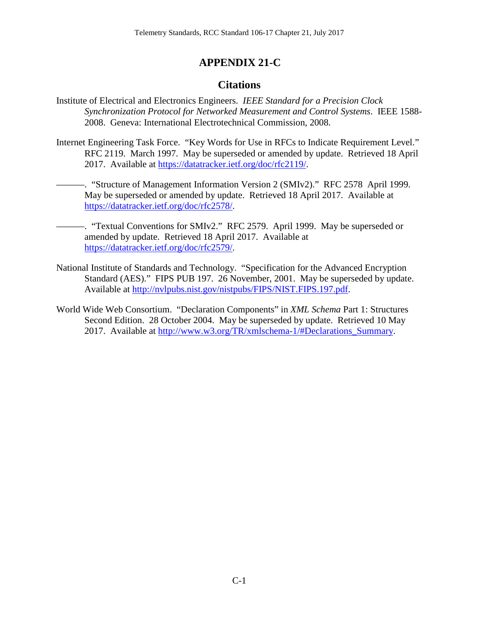## **APPENDIX 21-C**

## <span id="page-28-0"></span>**Citations**

- Institute of Electrical and Electronics Engineers. *IEEE Standard for a Precision Clock Synchronization Protocol for Networked Measurement and Control Systems*. IEEE 1588- 2008. Geneva: International Electrotechnical Commission, 2008.
- Internet Engineering Task Force. "Key Words for Use in RFCs to Indicate Requirement Level." RFC 2119. March 1997. May be superseded or amended by update. Retrieved 18 April 2017. Available at [https://datatracker.ietf.org/doc/rfc2119/.](https://datatracker.ietf.org/doc/rfc2119/)
	- ———. "Structure of Management Information Version 2 (SMIv2)." RFC 2578 April 1999. May be superseded or amended by update. Retrieved 18 April 2017. Available at [https://datatracker.ietf.org/doc/rfc2578/.](https://datatracker.ietf.org/doc/rfc2578/)
	- ———. "Textual Conventions for SMIv2." RFC 2579. April 1999. May be superseded or amended by update. Retrieved 18 April 2017. Available at [https://datatracker.ietf.org/doc/rfc2579/.](https://datatracker.ietf.org/doc/rfc2579/)
- National Institute of Standards and Technology. "Specification for the Advanced Encryption Standard (AES)." FIPS PUB 197. 26 November, 2001. May be superseded by update. Available at [http://nvlpubs.nist.gov/nistpubs/FIPS/NIST.FIPS.197.pdf.](http://nvlpubs.nist.gov/nistpubs/FIPS/NIST.FIPS.197.pdf)
- World Wide Web Consortium. "Declaration Components" in *XML Schema* Part 1: Structures Second Edition. 28 October 2004. May be superseded by update. Retrieved 10 May 2017. Available at http://www.w3.org/TR/xmlschema-1/#Declarations Summary.